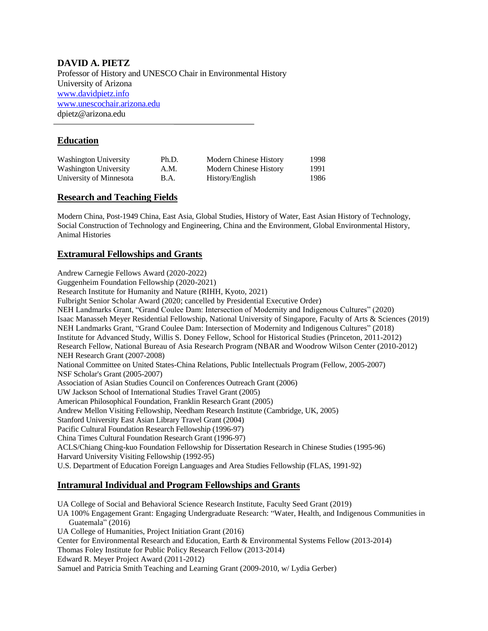## **DAVID A. PIETZ**

Professor of History and UNESCO Chair in Environmental History University of Arizona [www.davidpietz.info](http://www.davidpietz.info/) [www.unescochair.arizona.edu](http://www.unescochair.arizona.edu/) dpietz@arizona.edu

## **Education**

| Washington University   | Ph.D. | Modern Chinese History | 1998 |
|-------------------------|-------|------------------------|------|
| Washington University   | A.M.  | Modern Chinese History | 1991 |
| University of Minnesota | B.A.  | History/English        | 1986 |

## **Research and Teaching Fields**

Modern China, Post-1949 China, East Asia, Global Studies, History of Water, East Asian History of Technology, Social Construction of Technology and Engineering, China and the Environment, Global Environmental History, Animal Histories

## **Extramural Fellowships and Grants**

Andrew Carnegie Fellows Award (2020-2022) Guggenheim Foundation Fellowship (2020-2021) Research Institute for Humanity and Nature (RIHH, Kyoto, 2021) Fulbright Senior Scholar Award (2020; cancelled by Presidential Executive Order) NEH Landmarks Grant, "Grand Coulee Dam: Intersection of Modernity and Indigenous Cultures" (2020) Isaac Manasseh Meyer Residential Fellowship, National University of Singapore, Faculty of Arts & Sciences (2019) NEH Landmarks Grant, "Grand Coulee Dam: Intersection of Modernity and Indigenous Cultures" (2018) Institute for Advanced Study, Willis S. Doney Fellow, School for Historical Studies (Princeton, 2011-2012) Research Fellow, National Bureau of Asia Research Program (NBAR and Woodrow Wilson Center (2010-2012) NEH Research Grant (2007-2008) National Committee on United States-China Relations, Public Intellectuals Program (Fellow, 2005-2007) NSF Scholar's Grant (2005-2007) Association of Asian Studies Council on Conferences Outreach Grant (2006) UW Jackson School of International Studies Travel Grant (2005) American Philosophical Foundation, Franklin Research Grant (2005) Andrew Mellon Visiting Fellowship, Needham Research Institute (Cambridge, UK, 2005) Stanford University East Asian Library Travel Grant (2004) Pacific Cultural Foundation Research Fellowship (1996-97) China Times Cultural Foundation Research Grant (1996-97) ACLS/Chiang Ching-kuo Foundation Fellowship for Dissertation Research in Chinese Studies (1995-96) Harvard University Visiting Fellowship (1992-95) U.S. Department of Education Foreign Languages and Area Studies Fellowship (FLAS, 1991-92)

## **Intramural Individual and Program Fellowships and Grants**

UA College of Social and Behavioral Science Research Institute, Faculty Seed Grant (2019)

- UA 100% Engagement Grant: Engaging Undergraduate Research: "Water, Health, and Indigenous Communities in Guatemala" (2016)
- UA College of Humanities, Project Initiation Grant (2016)

Center for Environmental Research and Education, Earth & Environmental Systems Fellow (2013-2014)

Thomas Foley Institute for Public Policy Research Fellow (2013-2014)

Edward R. Meyer Project Award (2011-2012)

Samuel and Patricia Smith Teaching and Learning Grant (2009-2010, w/ Lydia Gerber)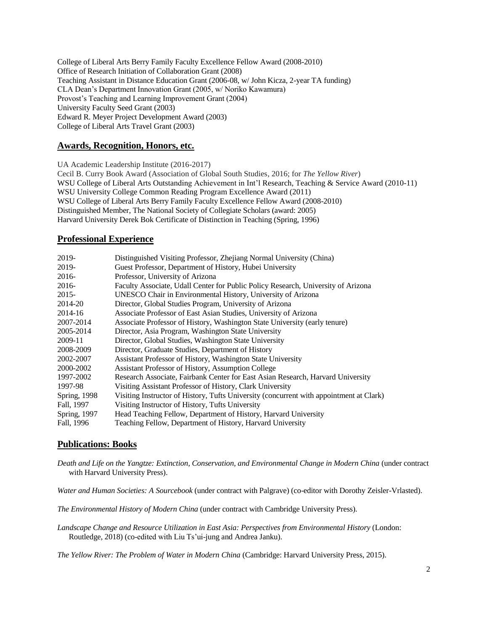College of Liberal Arts Berry Family Faculty Excellence Fellow Award (2008-2010) Office of Research Initiation of Collaboration Grant (2008) Teaching Assistant in Distance Education Grant (2006-08, w/ John Kicza, 2-year TA funding) CLA Dean's Department Innovation Grant (2005, w/ Noriko Kawamura) Provost's Teaching and Learning Improvement Grant (2004) University Faculty Seed Grant (2003) Edward R. Meyer Project Development Award (2003) College of Liberal Arts Travel Grant (2003)

## **Awards, Recognition, Honors, etc.**

UA Academic Leadership Institute (2016-2017) Cecil B. Curry Book Award (Association of Global South Studies, 2016; for *The Yellow River*) WSU College of Liberal Arts Outstanding Achievement in Int'l Research, Teaching & Service Award (2010-11) WSU University College Common Reading Program Excellence Award (2011) WSU College of Liberal Arts Berry Family Faculty Excellence Fellow Award (2008-2010) Distinguished Member, The National Society of Collegiate Scholars (award: 2005) Harvard University Derek Bok Certificate of Distinction in Teaching (Spring, 1996)

#### **Professional Experience**

| 2019-        | Distinguished Visiting Professor, Zhejiang Normal University (China)                    |
|--------------|-----------------------------------------------------------------------------------------|
| 2019-        | Guest Professor, Department of History, Hubei University                                |
| 2016-        | Professor, University of Arizona                                                        |
| $2016-$      | Faculty Associate, Udall Center for Public Policy Research, University of Arizona       |
| $2015 -$     | UNESCO Chair in Environmental History, University of Arizona                            |
| 2014-20      | Director, Global Studies Program, University of Arizona                                 |
| 2014-16      | Associate Professor of East Asian Studies, University of Arizona                        |
| 2007-2014    | Associate Professor of History, Washington State University (early tenure)              |
| 2005-2014    | Director, Asia Program, Washington State University                                     |
| 2009-11      | Director, Global Studies, Washington State University                                   |
| 2008-2009    | Director, Graduate Studies, Department of History                                       |
| 2002-2007    | Assistant Professor of History, Washington State University                             |
| 2000-2002    | Assistant Professor of History, Assumption College                                      |
| 1997-2002    | Research Associate, Fairbank Center for East Asian Research, Harvard University         |
| 1997-98      | Visiting Assistant Professor of History, Clark University                               |
| Spring, 1998 | Visiting Instructor of History, Tufts University (concurrent with appointment at Clark) |
| Fall, 1997   | Visiting Instructor of History, Tufts University                                        |
| Spring, 1997 | Head Teaching Fellow, Department of History, Harvard University                         |
| Fall, 1996   | Teaching Fellow, Department of History, Harvard University                              |

#### **Publications: Books**

*Death and Life on the Yangtze: Extinction, Conservation, and Environmental Change in Modern China* (under contract with Harvard University Press).

*Water and Human Societies: A Sourcebook* (under contract with Palgrave) (co-editor with Dorothy Zeisler-Vrlasted).

*The Environmental History of Modern China* (under contract with Cambridge University Press).

*Landscape Change and Resource Utilization in East Asia: Perspectives from Environmental History* (London: Routledge, 2018) (co-edited with Liu Ts'ui-jung and Andrea Janku).

*The Yellow River: The Problem of Water in Modern China* (Cambridge: Harvard University Press, 2015).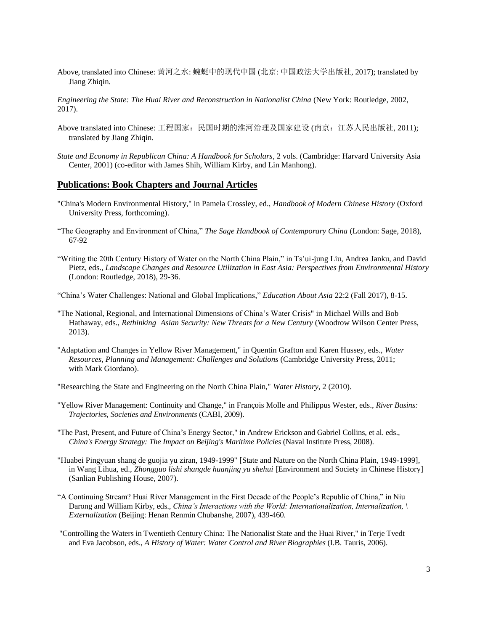Above, translated into Chinese: 黄河之水: 蜿蜒中的现代中国 (北京: 中国政法大学出版社, 2017); translated by Jiang Zhiqin.

*Engineering the State: The Huai River and Reconstruction in Nationalist China* (New York: Routledge, 2002, 2017).

- Above translated into Chinese: 工程国家: 民国时期的淮河治理及国家建设 (南京: 江苏人民出版社, 2011); translated by Jiang Zhiqin.
- *State and Economy in Republican China: A Handbook for Scholars*, 2 vols. (Cambridge: Harvard University Asia Center, 2001) (co-editor with James Shih, William Kirby, and Lin Manhong).

#### **Publications: Book Chapters and Journal Articles**

- "China's Modern Environmental History," in Pamela Crossley, ed., *Handbook of Modern Chinese History* (Oxford University Press, forthcoming).
- "The Geography and Environment of China," *The Sage Handbook of Contemporary China* (London: Sage, 2018), 67-92
- "Writing the 20th Century History of Water on the North China Plain," in Ts'ui-jung Liu, Andrea Janku, and David Pietz, eds., *Landscape Changes and Resource Utilization in East Asia: Perspectives from Environmental History* (London: Routledge, 2018), 29-36.
- "China's Water Challenges: National and Global Implications," *Education About Asia* 22:2 (Fall 2017), 8-15.
- "The National, Regional, and International Dimensions of China's Water Crisis" in Michael Wills and Bob Hathaway, eds., *Rethinking Asian Security: New Threats for a New Century* (Woodrow Wilson Center Press, 2013).
- "Adaptation and Changes in Yellow River Management," in Quentin Grafton and Karen Hussey, eds., *Water Resources, Planning and Management: Challenges and Solutions* (Cambridge University Press, 2011; with Mark Giordano).
- "Researching the State and Engineering on the North China Plain," *Water History*, 2 (2010).
- "Yellow River Management: Continuity and Change," in François Molle and Philippus Wester, eds., *River Basins: Trajectories, Societies and Environments* (CABI, 2009).
- "The Past, Present, and Future of China's Energy Sector," in Andrew Erickson and Gabriel Collins, et al. eds., *China's Energy Strategy: The Impact on Beijing's Maritime Policies* (Naval Institute Press, 2008).
- "Huabei Pingyuan shang de guojia yu ziran, 1949-1999" [State and Nature on the North China Plain, 1949-1999], in Wang Lihua, ed., *Zhongguo lishi shangde huanjing yu shehui* [Environment and Society in Chinese History] (Sanlian Publishing House, 2007).
- "A Continuing Stream? Huai River Management in the First Decade of the People's Republic of China," in Niu Darong and William Kirby, eds., *China's Interactions with the World: Internationalization, Internalization, \ Externalization* (Beijing: Henan Renmin Chubanshe, 2007), 439-460.
- "Controlling the Waters in Twentieth Century China: The Nationalist State and the Huai River," in Terje Tvedt and Eva Jacobson, eds., *A History of Water: Water Control and River Biographies* (I.B. Tauris, 2006).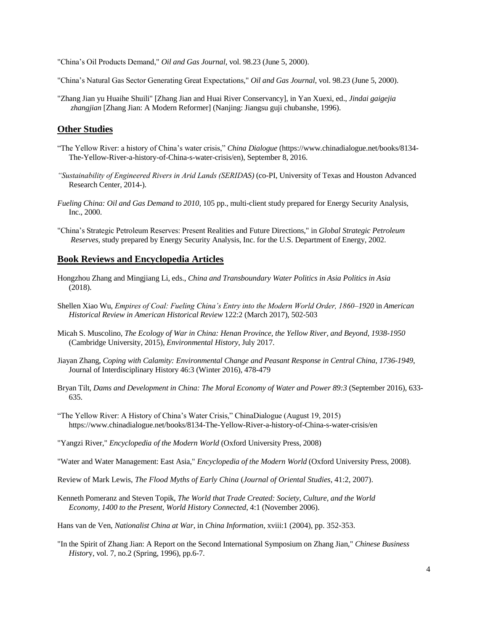"China's Oil Products Demand," *Oil and Gas Journal*, vol. 98.23 (June 5, 2000).

"China's Natural Gas Sector Generating Great Expectations," *Oil and Gas Journal*, vol. 98.23 (June 5, 2000).

"Zhang Jian yu Huaihe Shuili" [Zhang Jian and Huai River Conservancy], in Yan Xuexi, ed., *Jindai gaigejia zhangjian* [Zhang Jian: A Modern Reformer] (Nanjing: Jiangsu guji chubanshe, 1996).

#### **Other Studies**

- "The Yellow River: a history of China's water crisis," *China Dialogue* (https://www.chinadialogue.net/books/8134- The-Yellow-River-a-history-of-China-s-water-crisis/en), September 8, 2016.
- *"Sustainability of Engineered Rivers in Arid Lands (SERIDAS)* (co-PI, University of Texas and Houston Advanced Research Center, 2014-).
- *Fueling China: Oil and Gas Demand to 2010*, 105 pp., multi-client study prepared for Energy Security Analysis, Inc., 2000.
- "China's Strategic Petroleum Reserves: Present Realities and Future Directions," in *Global Strategic Petroleum Reserves*, study prepared by Energy Security Analysis, Inc. for the U.S. Department of Energy, 2002.

#### **Book Reviews and Encyclopedia Articles**

- Hongzhou Zhang and Mingjiang Li, eds., *China and Transboundary Water Politics in Asia Politics in Asia* (2018).
- Shellen Xiao Wu, *Empires of Coal: Fueling China's Entry into the Modern World Order, 1860–1920* in *American Historical Review in American Historical Review* 122:2 (March 2017), 502-503
- Micah S. Muscolino, *The Ecology of War in China: Henan Province, the Yellow River, and Beyond, 1938-1950* (Cambridge University, 2015), *Environmental History*, July 2017.
- Jiayan Zhang, *Coping with Calamity: Environmental Change and Peasant Response in Central China, 1736-1949*, Journal of Interdisciplinary History 46:3 (Winter 2016), 478-479
- Bryan Tilt, *Dams and Development in China: The Moral Economy of Water and Power 89:3* (September 2016), 633- 635.
- "The Yellow River: A History of China's Water Crisis," ChinaDialogue (August 19, 2015) https://www.chinadialogue.net/books/8134-The-Yellow-River-a-history-of-China-s-water-crisis/en
- "Yangzi River," *Encyclopedia of the Modern World* (Oxford University Press, 2008)
- "Water and Water Management: East Asia," *Encyclopedia of the Modern World* (Oxford University Press, 2008).
- Review of Mark Lewis, *The Flood Myths of Early China* (*Journal of Oriental Studies*, 41:2, 2007).
- Kenneth Pomeranz and Steven Topik, *The World that Trade Created: Society, Culture, and the World Economy, 1400 to the Present, World History Connected*, 4:1 (November 2006).

Hans van de Ven, *Nationalist China at War*, in *China Information*, xviii:1 (2004), pp. 352-353.

"In the Spirit of Zhang Jian: A Report on the Second International Symposium on Zhang Jian," *Chinese Business Histor*y, vol. 7, no.2 (Spring, 1996), pp.6-7.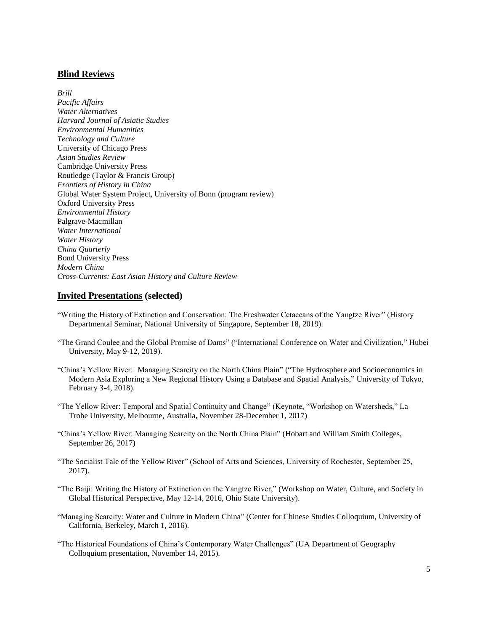## **Blind Reviews**

*Brill Pacific Affairs Water Alternatives Harvard Journal of Asiatic Studies Environmental Humanities Technology and Culture* University of Chicago Press *Asian Studies Review* Cambridge University Press Routledge (Taylor & Francis Group) *Frontiers of History in China* Global Water System Project, University of Bonn (program review) Oxford University Press *Environmental History* Palgrave-Macmillan *Water International Water History China Quarterly* Bond University Press *Modern China Cross-Currents: East Asian History and Culture Review*

#### **Invited Presentations (selected)**

- "Writing the History of Extinction and Conservation: The Freshwater Cetaceans of the Yangtze River" (History Departmental Seminar, National University of Singapore, September 18, 2019).
- "The Grand Coulee and the Global Promise of Dams" ("International Conference on Water and Civilization," Hubei University, May 9-12, 2019).
- "China's Yellow River: Managing Scarcity on the North China Plain" ("The Hydrosphere and Socioeconomics in Modern Asia Exploring a New Regional History Using a Database and Spatial Analysis," University of Tokyo, February 3-4, 2018).
- "The Yellow River: Temporal and Spatial Continuity and Change" (Keynote, "Workshop on Watersheds," La Trobe University, Melbourne, Australia, November 28-December 1, 2017)
- "China's Yellow River: Managing Scarcity on the North China Plain" (Hobart and William Smith Colleges, September 26, 2017)
- "The Socialist Tale of the Yellow River" (School of Arts and Sciences, University of Rochester, September 25, 2017).
- "The Baiji: Writing the History of Extinction on the Yangtze River," (Workshop on Water, Culture, and Society in Global Historical Perspective, May 12-14, 2016, Ohio State University).
- "Managing Scarcity: Water and Culture in Modern China" (Center for Chinese Studies Colloquium, University of California, Berkeley, March 1, 2016).
- "The Historical Foundations of China's Contemporary Water Challenges" (UA Department of Geography Colloquium presentation, November 14, 2015).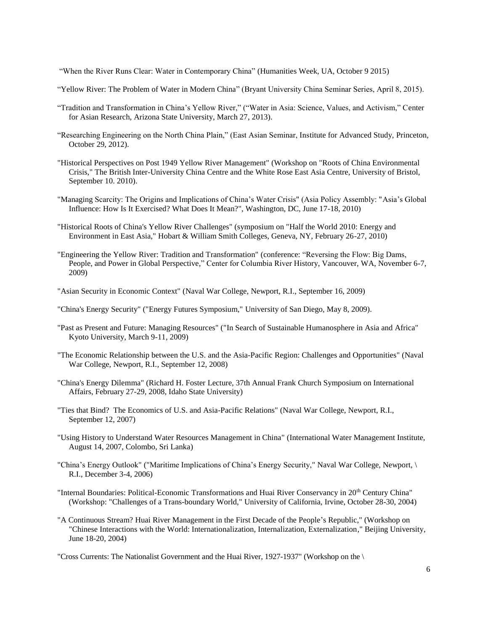"When the River Runs Clear: Water in Contemporary China" (Humanities Week, UA, October 9 2015)

- "Yellow River: The Problem of Water in Modern China" (Bryant University China Seminar Series, April 8, 2015).
- "Tradition and Transformation in China's Yellow River," ("Water in Asia: Science, Values, and Activism," Center for Asian Research, Arizona State University, March 27, 2013).
- "Researching Engineering on the North China Plain," (East Asian Seminar, Institute for Advanced Study, Princeton, October 29, 2012).
- "Historical Perspectives on Post 1949 Yellow River Management" (Workshop on "Roots of China Environmental Crisis," The British Inter-University China Centre and the White Rose East Asia Centre, University of Bristol, September 10. 2010).
- "Managing Scarcity: The Origins and Implications of China's Water Crisis" (Asia Policy Assembly: "Asia's Global Influence: How Is It Exercised? What Does It Mean?", Washington, DC, June 17-18, 2010)
- "Historical Roots of China's Yellow River Challenges" (symposium on "Half the World 2010: Energy and Environment in East Asia," Hobart & William Smith Colleges, Geneva, NY, February 26-27, 2010)
- "Engineering the Yellow River: Tradition and Transformation" (conference: "Reversing the Flow: Big Dams, People, and Power in Global Perspective," Center for Columbia River History, Vancouver, WA, November 6-7, 2009)
- "Asian Security in Economic Context" (Naval War College, Newport, R.I., September 16, 2009)
- "China's Energy Security" ("Energy Futures Symposium," University of San Diego, May 8, 2009).
- "Past as Present and Future: Managing Resources" ("In Search of Sustainable Humanosphere in Asia and Africa" Kyoto University, March 9-11, 2009)
- "The Economic Relationship between the U.S. and the Asia-Pacific Region: Challenges and Opportunities" (Naval War College, Newport, R.I., September 12, 2008)
- "China's Energy Dilemma" (Richard H. Foster Lecture, 37th Annual Frank Church Symposium on International Affairs, February 27-29, 2008, Idaho State University)
- "Ties that Bind? The Economics of U.S. and Asia-Pacific Relations" (Naval War College, Newport, R.I., September 12, 2007)
- "Using History to Understand Water Resources Management in China" (International Water Management Institute, August 14, 2007, Colombo, Sri Lanka)
- "China's Energy Outlook" ("Maritime Implications of China's Energy Security," Naval War College, Newport, \ R.I., December 3-4, 2006)
- "Internal Boundaries: Political-Economic Transformations and Huai River Conservancy in 20th Century China" (Workshop: "Challenges of a Trans-boundary World," University of California, Irvine, October 28-30, 2004)
- "A Continuous Stream? Huai River Management in the First Decade of the People's Republic," (Workshop on "Chinese Interactions with the World: Internationalization, Internalization, Externalization," Beijing University, June 18-20, 2004)

"Cross Currents: The Nationalist Government and the Huai River, 1927-1937" (Workshop on the \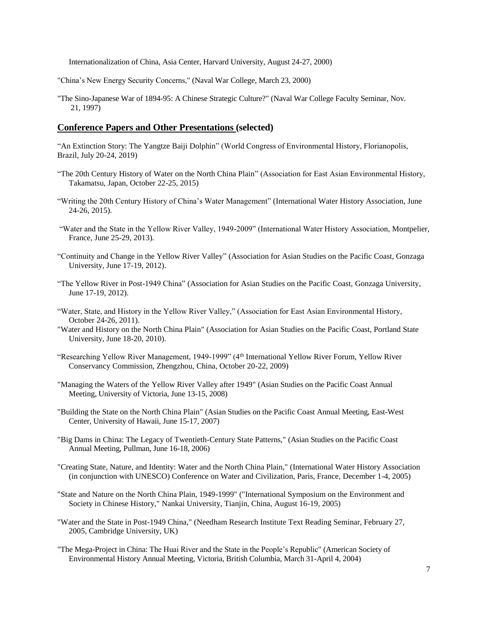Internationalization of China, Asia Center, Harvard University, August 24-27, 2000)

"China's New Energy Security Concerns," (Naval War College, March 23, 2000)

"The Sino-Japanese War of 1894-95: A Chinese Strategic Culture?" (Naval War College Faculty Seminar, Nov. 21, 1997)

#### **Conference Papers and Other Presentations (selected)**

"An Extinction Story: The Yangtze Baiji Dolphin" (World Congress of Environmental History, Florianopolis, Brazil, July 20-24, 2019)

- "The 20th Century History of Water on the North China Plain" (Association for East Asian Environmental History, Takamatsu, Japan, October 22-25, 2015)
- "Writing the 20th Century History of China's Water Management" (International Water History Association, June 24-26, 2015).
- "Water and the State in the Yellow River Valley, 1949-2009" (International Water History Association, Montpelier, France, June 25-29, 2013).
- "Continuity and Change in the Yellow River Valley" (Association for Asian Studies on the Pacific Coast, Gonzaga University, June 17-19, 2012).
- "The Yellow River in Post-1949 China" (Association for Asian Studies on the Pacific Coast, Gonzaga University, June 17-19, 2012).
- "Water, State, and History in the Yellow River Valley," (Association for East Asian Environmental History, October 24-26, 2011).
- "Water and History on the North China Plain" (Association for Asian Studies on the Pacific Coast, Portland State University, June 18-20, 2010).
- "Researching Yellow River Management, 1949-1999" (4<sup>th</sup> International Yellow River Forum, Yellow River Conservancy Commission, Zhengzhou, China, October 20-22, 2009)
- "Managing the Waters of the Yellow River Valley after 1949" (Asian Studies on the Pacific Coast Annual Meeting, University of Victoria, June 13-15, 2008)
- "Building the State on the North China Plain" (Asian Studies on the Pacific Coast Annual Meeting, East-West Center, University of Hawaii, June 15-17, 2007)
- "Big Dams in China: The Legacy of Twentieth-Century State Patterns," (Asian Studies on the Pacific Coast Annual Meeting, Pullman, June 16-18, 2006)
- "Creating State, Nature, and Identity: Water and the North China Plain," (International Water History Association (in conjunction with UNESCO) Conference on Water and Civilization, Paris, France, December 1-4, 2005)
- "State and Nature on the North China Plain, 1949-1999" ("International Symposium on the Environment and Society in Chinese History," Nankai University, Tianjin, China, August 16-19, 2005)
- "Water and the State in Post-1949 China," (Needham Research Institute Text Reading Seminar, February 27, 2005, Cambridge University, UK)
- "The Mega-Project in China: The Huai River and the State in the People's Republic" (American Society of Environmental History Annual Meeting, Victoria, British Columbia, March 31-April 4, 2004)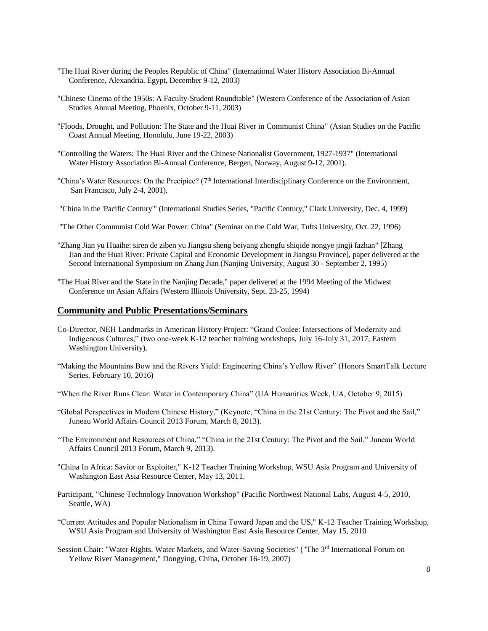- "The Huai River during the Peoples Republic of China" (International Water History Association Bi-Annual Conference, Alexandria, Egypt, December 9-12, 2003)
- "Chinese Cinema of the 1950s: A Faculty-Student Roundtable" (Western Conference of the Association of Asian Studies Annual Meeting, Phoenix, October 9-11, 2003)
- "Floods, Drought, and Pollution: The State and the Huai River in Communist China" (Asian Studies on the Pacific Coast Annual Meeting, Honolulu, June 19-22, 2003)
- "Controlling the Waters: The Huai River and the Chinese Nationalist Government, 1927-1937" (International Water History Association Bi-Annual Conference, Bergen, Norway, August 9-12, 2001).
- "China's Water Resources: On the Precipice?  $(7<sup>th</sup> International Interdisciplinary Conference on the Environment,$ San Francisco, July 2-4, 2001).
- "China in the 'Pacific Century'" (International Studies Series, "Pacific Century," Clark University, Dec. 4, 1999)
- "The Other Communist Cold War Power: China" (Seminar on the Cold War, Tufts University, Oct. 22, 1996)
- "Zhang Jian yu Huaihe: siren de ziben yu Jiangsu sheng beiyang zhengfu shiqide nongye jingji fazhan" [Zhang Jian and the Huai River: Private Capital and Economic Development in Jiangsu Province], paper delivered at the Second International Symposium on Zhang Jian (Nanjing University, August 30 - September 2, 1995)
- "The Huai River and the State in the Nanjing Decade," paper delivered at the 1994 Meeting of the Midwest Conference on Asian Affairs (Western Illinois University, Sept. 23-25, 1994)

#### **Community and Public Presentations/Seminars**

- Co-Director, NEH Landmarks in American History Project: "Grand Coulee: Intersections of Modernity and Indigenous Cultures," (two one-week K-12 teacher training workshops, July 16-July 31, 2017, Eastern Washington University).
- "Making the Mountains Bow and the Rivers Yield: Engineering China's Yellow River" (Honors SmartTalk Lecture Series. February 10, 2016)
- "When the River Runs Clear: Water in Contemporary China" (UA Humanities Week, UA, October 9, 2015)
- "Global Perspectives in Modern Chinese History," (Keynote, "China in the 21st Century: The Pivot and the Sail," Juneau World Affairs Council 2013 Forum, March 8, 2013).
- "The Environment and Resources of China," "China in the 21st Century: The Pivot and the Sail," Juneau World Affairs Council 2013 Forum, March 9, 2013).
- "China In Africa: Savior or Exploiter," K-12 Teacher Training Workshop, WSU Asia Program and University of Washington East Asia Resource Center, May 13, 2011.
- Participant, "Chinese Technology Innovation Workshop" (Pacific Northwest National Labs, August 4-5, 2010, Seattle, WA)
- "Current Attitudes and Popular Nationalism in China Toward Japan and the US," K-12 Teacher Training Workshop, WSU Asia Program and University of Washington East Asia Resource Center, May 15, 2010
- Session Chair: "Water Rights, Water Markets, and Water-Saving Societies" ("The 3rd International Forum on Yellow River Management," Dongying, China, October 16-19, 2007)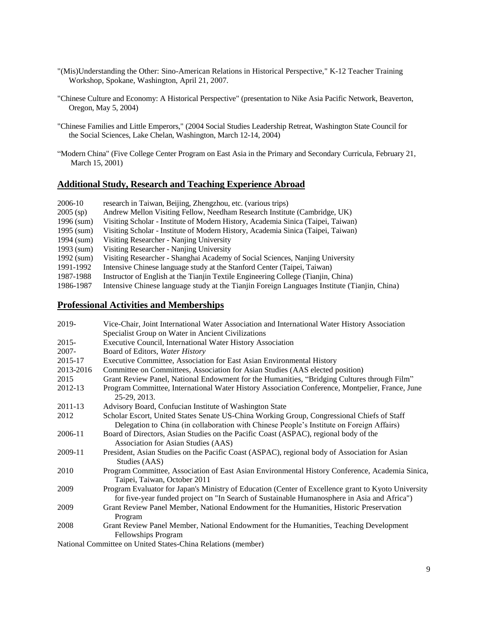- "(Mis)Understanding the Other: Sino-American Relations in Historical Perspective," K-12 Teacher Training Workshop, Spokane, Washington, April 21, 2007.
- "Chinese Culture and Economy: A Historical Perspective" (presentation to Nike Asia Pacific Network, Beaverton, Oregon, May 5, 2004)
- "Chinese Families and Little Emperors," (2004 Social Studies Leadership Retreat, Washington State Council for the Social Sciences, Lake Chelan, Washington, March 12-14, 2004)
- "Modern China" (Five College Center Program on East Asia in the Primary and Secondary Curricula, February 21, March 15, 2001)

## **Additional Study, Research and Teaching Experience Abroad**

| 2006-10      | research in Taiwan, Beijing, Zhengzhou, etc. (various trips)                                 |
|--------------|----------------------------------------------------------------------------------------------|
| $2005$ (sp)  | Andrew Mellon Visiting Fellow, Needham Research Institute (Cambridge, UK)                    |
| $1996$ (sum) | Visiting Scholar - Institute of Modern History, Academia Sinica (Taipei, Taiwan)             |
| 1995 $(sum)$ | Visiting Scholar - Institute of Modern History, Academia Sinica (Taipei, Taiwan)             |
| 1994 (sum)   | Visiting Researcher - Nanjing University                                                     |
| 1993 $(sum)$ | Visiting Researcher - Nanjing University                                                     |
| 1992 $(sum)$ | Visiting Researcher - Shanghai Academy of Social Sciences, Nanjing University                |
| 1991-1992    | Intensive Chinese language study at the Stanford Center (Taipei, Taiwan)                     |
| 1987-1988    | Instructor of English at the Tianjin Textile Engineering College (Tianjin, China)            |
| 1986-1987    | Intensive Chinese language study at the Tianjin Foreign Languages Institute (Tianjin, China) |
|              |                                                                                              |

#### **Professional Activities and Memberships**

| 2019-     | Vice-Chair, Joint International Water Association and International Water History Association                                                                                                      |
|-----------|----------------------------------------------------------------------------------------------------------------------------------------------------------------------------------------------------|
|           | Specialist Group on Water in Ancient Civilizations                                                                                                                                                 |
| $2015 -$  | Executive Council, International Water History Association                                                                                                                                         |
| $2007 -$  | Board of Editors, Water History                                                                                                                                                                    |
| 2015-17   | Executive Committee, Association for East Asian Environmental History                                                                                                                              |
| 2013-2016 | Committee on Committees, Association for Asian Studies (AAS elected position)                                                                                                                      |
| 2015      | Grant Review Panel, National Endowment for the Humanities, "Bridging Cultures through Film"                                                                                                        |
| 2012-13   | Program Committee, International Water History Association Conference, Montpelier, France, June<br>25-29, 2013.                                                                                    |
| 2011-13   | Advisory Board, Confucian Institute of Washington State                                                                                                                                            |
| 2012      | Scholar Escort, United States Senate US-China Working Group, Congressional Chiefs of Staff<br>Delegation to China (in collaboration with Chinese People's Institute on Foreign Affairs)            |
| 2006-11   | Board of Directors, Asian Studies on the Pacific Coast (ASPAC), regional body of the<br>Association for Asian Studies (AAS)                                                                        |
| 2009-11   | President, Asian Studies on the Pacific Coast (ASPAC), regional body of Association for Asian<br>Studies (AAS)                                                                                     |
| 2010      | Program Committee, Association of East Asian Environmental History Conference, Academia Sinica,<br>Taipei, Taiwan, October 2011                                                                    |
| 2009      | Program Evaluator for Japan's Ministry of Education (Center of Excellence grant to Kyoto University<br>for five-year funded project on "In Search of Sustainable Humanosphere in Asia and Africa") |
| 2009      | Grant Review Panel Member, National Endowment for the Humanities, Historic Preservation<br>Program                                                                                                 |
| 2008      | Grant Review Panel Member, National Endowment for the Humanities, Teaching Development<br>Fellowships Program                                                                                      |

National Committee on United States-China Relations (member)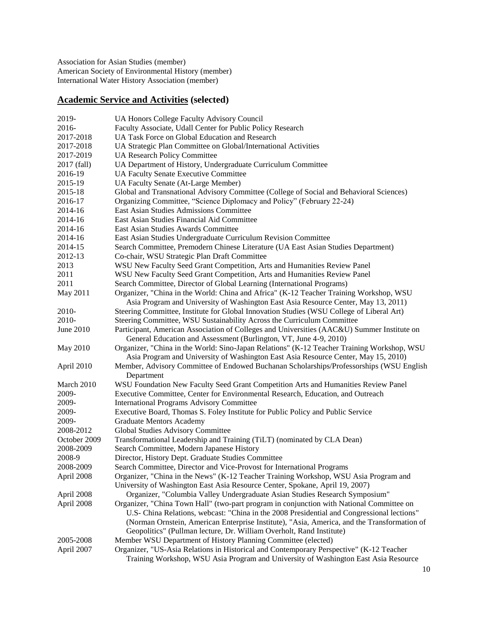Association for Asian Studies (member) American Society of Environmental History (member) International Water History Association (member)

# **Academic Service and Activities (selected)**

| 2019-        | UA Honors College Faculty Advisory Council                                                                                                                                                                                                                                            |
|--------------|---------------------------------------------------------------------------------------------------------------------------------------------------------------------------------------------------------------------------------------------------------------------------------------|
| 2016-        | Faculty Associate, Udall Center for Public Policy Research                                                                                                                                                                                                                            |
| 2017-2018    | UA Task Force on Global Education and Research                                                                                                                                                                                                                                        |
| 2017-2018    | UA Strategic Plan Committee on Global/International Activities                                                                                                                                                                                                                        |
| 2017-2019    | <b>UA Research Policy Committee</b>                                                                                                                                                                                                                                                   |
| 2017 (fall)  | UA Department of History, Undergraduate Curriculum Committee                                                                                                                                                                                                                          |
| 2016-19      | <b>UA Faculty Senate Executive Committee</b>                                                                                                                                                                                                                                          |
| 2015-19      | UA Faculty Senate (At-Large Member)                                                                                                                                                                                                                                                   |
| 2015-18      | Global and Transnational Advisory Committee (College of Social and Behavioral Sciences)                                                                                                                                                                                               |
| 2016-17      | Organizing Committee, "Science Diplomacy and Policy" (February 22-24)                                                                                                                                                                                                                 |
| 2014-16      | East Asian Studies Admissions Committee                                                                                                                                                                                                                                               |
| 2014-16      | East Asian Studies Financial Aid Committee                                                                                                                                                                                                                                            |
| 2014-16      | East Asian Studies Awards Committee                                                                                                                                                                                                                                                   |
| 2014-16      | East Asian Studies Undergraduate Curriculum Revision Committee                                                                                                                                                                                                                        |
| 2014-15      | Search Committee, Premodern Chinese Literature (UA East Asian Studies Department)                                                                                                                                                                                                     |
| 2012-13      | Co-chair, WSU Strategic Plan Draft Committee                                                                                                                                                                                                                                          |
| 2013         | WSU New Faculty Seed Grant Competition, Arts and Humanities Review Panel                                                                                                                                                                                                              |
| 2011         | WSU New Faculty Seed Grant Competition, Arts and Humanities Review Panel                                                                                                                                                                                                              |
| 2011         | Search Committee, Director of Global Learning (International Programs)                                                                                                                                                                                                                |
| May 2011     | Organizer, "China in the World: China and Africa" (K-12 Teacher Training Workshop, WSU                                                                                                                                                                                                |
|              | Asia Program and University of Washington East Asia Resource Center, May 13, 2011)                                                                                                                                                                                                    |
| 2010-        | Steering Committee, Institute for Global Innovation Studies (WSU College of Liberal Art)                                                                                                                                                                                              |
| 2010-        | Steering Committee, WSU Sustainability Across the Curriculum Committee                                                                                                                                                                                                                |
| June 2010    | Participant, American Association of Colleges and Universities (AAC&U) Summer Institute on                                                                                                                                                                                            |
|              | General Education and Assessment (Burlington, VT, June 4-9, 2010)                                                                                                                                                                                                                     |
| May 2010     | Organizer, "China in the World: Sino-Japan Relations" (K-12 Teacher Training Workshop, WSU<br>Asia Program and University of Washington East Asia Resource Center, May 15, 2010)                                                                                                      |
| April 2010   | Member, Advisory Committee of Endowed Buchanan Scholarships/Professorships (WSU English<br>Department                                                                                                                                                                                 |
| March 2010   | WSU Foundation New Faculty Seed Grant Competition Arts and Humanities Review Panel                                                                                                                                                                                                    |
| 2009-        | Executive Committee, Center for Environmental Research, Education, and Outreach                                                                                                                                                                                                       |
| 2009-        | <b>International Programs Advisory Committee</b>                                                                                                                                                                                                                                      |
| 2009-        | Executive Board, Thomas S. Foley Institute for Public Policy and Public Service                                                                                                                                                                                                       |
| 2009-        | <b>Graduate Mentors Academy</b>                                                                                                                                                                                                                                                       |
| 2008-2012    | Global Studies Advisory Committee                                                                                                                                                                                                                                                     |
| October 2009 | Transformational Leadership and Training (TiLT) (nominated by CLA Dean)                                                                                                                                                                                                               |
| 2008-2009    | Search Committee, Modern Japanese History                                                                                                                                                                                                                                             |
| 2008-9       | Director, History Dept. Graduate Studies Committee                                                                                                                                                                                                                                    |
| 2008-2009    | Search Committee, Director and Vice-Provost for International Programs                                                                                                                                                                                                                |
| April 2008   | Organizer, "China in the News" (K-12 Teacher Training Workshop, WSU Asia Program and                                                                                                                                                                                                  |
|              | University of Washington East Asia Resource Center, Spokane, April 19, 2007)                                                                                                                                                                                                          |
| April 2008   | Organizer, "Columbia Valley Undergraduate Asian Studies Research Symposium"                                                                                                                                                                                                           |
| April 2008   | Organizer, "China Town Hall" (two-part program in conjunction with National Committee on<br>U.S- China Relations, webcast: "China in the 2008 Presidential and Congressional lections"<br>(Norman Ornstein, American Enterprise Institute), "Asia, America, and the Transformation of |
|              | Geopolitics" (Pullman lecture, Dr. William Overholt, Rand Institute)                                                                                                                                                                                                                  |
| 2005-2008    | Member WSU Department of History Planning Committee (elected)                                                                                                                                                                                                                         |
| April 2007   | Organizer, "US-Asia Relations in Historical and Contemporary Perspective" (K-12 Teacher<br>Training Workshop, WSU Asia Program and University of Washington East Asia Resource                                                                                                        |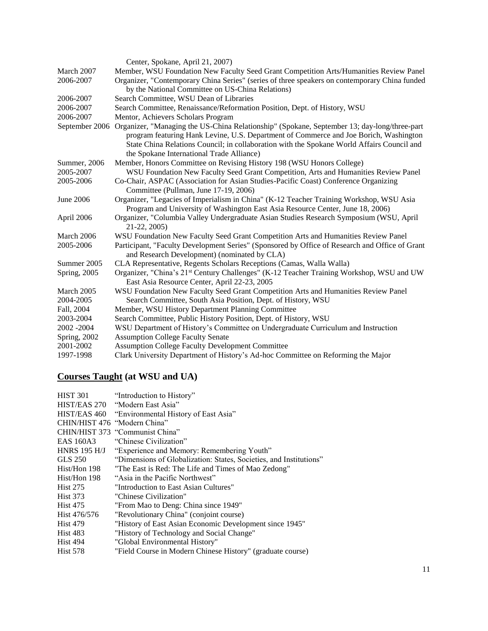|                | Center, Spokane, April 21, 2007)                                                                                                                                                                                                                                                                                                |
|----------------|---------------------------------------------------------------------------------------------------------------------------------------------------------------------------------------------------------------------------------------------------------------------------------------------------------------------------------|
| March 2007     | Member, WSU Foundation New Faculty Seed Grant Competition Arts/Humanities Review Panel                                                                                                                                                                                                                                          |
| 2006-2007      | Organizer, "Contemporary China Series" (series of three speakers on contemporary China funded                                                                                                                                                                                                                                   |
|                | by the National Committee on US-China Relations)                                                                                                                                                                                                                                                                                |
| 2006-2007      | Search Committee, WSU Dean of Libraries                                                                                                                                                                                                                                                                                         |
| 2006-2007      | Search Committee, Renaissance/Reformation Position, Dept. of History, WSU                                                                                                                                                                                                                                                       |
| 2006-2007      | Mentor, Achievers Scholars Program                                                                                                                                                                                                                                                                                              |
| September 2006 | Organizer, "Managing the US-China Relationship" (Spokane, September 13; day-long/three-part<br>program featuring Hank Levine, U.S. Department of Commerce and Joe Borich, Washington<br>State China Relations Council; in collaboration with the Spokane World Affairs Council and<br>the Spokane International Trade Alliance) |
| Summer, 2006   | Member, Honors Committee on Revising History 198 (WSU Honors College)                                                                                                                                                                                                                                                           |
| 2005-2007      | WSU Foundation New Faculty Seed Grant Competition, Arts and Humanities Review Panel                                                                                                                                                                                                                                             |
| 2005-2006      | Co-Chair, ASPAC (Association for Asian Studies-Pacific Coast) Conference Organizing<br>Committee (Pullman, June 17-19, 2006)                                                                                                                                                                                                    |
| June 2006      | Organizer, "Legacies of Imperialism in China" (K-12 Teacher Training Workshop, WSU Asia<br>Program and University of Washington East Asia Resource Center, June 18, 2006)                                                                                                                                                       |
| April 2006     | Organizer, "Columbia Valley Undergraduate Asian Studies Research Symposium (WSU, April<br>21-22, 2005)                                                                                                                                                                                                                          |
| March 2006     | WSU Foundation New Faculty Seed Grant Competition Arts and Humanities Review Panel                                                                                                                                                                                                                                              |
| 2005-2006      | Participant, "Faculty Development Series" (Sponsored by Office of Research and Office of Grant<br>and Research Development) (nominated by CLA)                                                                                                                                                                                  |
| Summer 2005    | CLA Representative, Regents Scholars Receptions (Camas, Walla Walla)                                                                                                                                                                                                                                                            |
| Spring, 2005   | Organizer, "China's 21 <sup>st</sup> Century Challenges" (K-12 Teacher Training Workshop, WSU and UW<br>East Asia Resource Center, April 22-23, 2005                                                                                                                                                                            |
| March 2005     | WSU Foundation New Faculty Seed Grant Competition Arts and Humanities Review Panel                                                                                                                                                                                                                                              |
| 2004-2005      | Search Committee, South Asia Position, Dept. of History, WSU                                                                                                                                                                                                                                                                    |
| Fall, 2004     | Member, WSU History Department Planning Committee                                                                                                                                                                                                                                                                               |
| 2003-2004      | Search Committee, Public History Position, Dept. of History, WSU                                                                                                                                                                                                                                                                |
| 2002 - 2004    | WSU Department of History's Committee on Undergraduate Curriculum and Instruction                                                                                                                                                                                                                                               |
| Spring, 2002   | <b>Assumption College Faculty Senate</b>                                                                                                                                                                                                                                                                                        |
| 2001-2002      | <b>Assumption College Faculty Development Committee</b>                                                                                                                                                                                                                                                                         |
| 1997-1998      | Clark University Department of History's Ad-hoc Committee on Reforming the Major                                                                                                                                                                                                                                                |

# **Courses Taught (at WSU and UA)**

| "Introduction to History"                                          |
|--------------------------------------------------------------------|
| HIST/EAS 270 "Modern East Asia"                                    |
| HIST/EAS 460 "Environmental History of East Asia"                  |
| CHIN/HIST 476 "Modern China"                                       |
| CHIN/HIST 373 "Communist China"                                    |
| "Chinese Civilization"                                             |
| "Experience and Memory: Remembering Youth"                         |
| "Dimensions of Globalization: States, Societies, and Institutions" |
| "The East is Red: The Life and Times of Mao Zedong"                |
| "Asia in the Pacific Northwest"                                    |
| "Introduction to East Asian Cultures"                              |
| "Chinese Civilization"                                             |
| "From Mao to Deng: China since 1949"                               |
| "Revolutionary China" (conjoint course)                            |
| "History of East Asian Economic Development since 1945"            |
| "History of Technology and Social Change"                          |
| "Global Environmental History"                                     |
| "Field Course in Modern Chinese History" (graduate course)         |
|                                                                    |